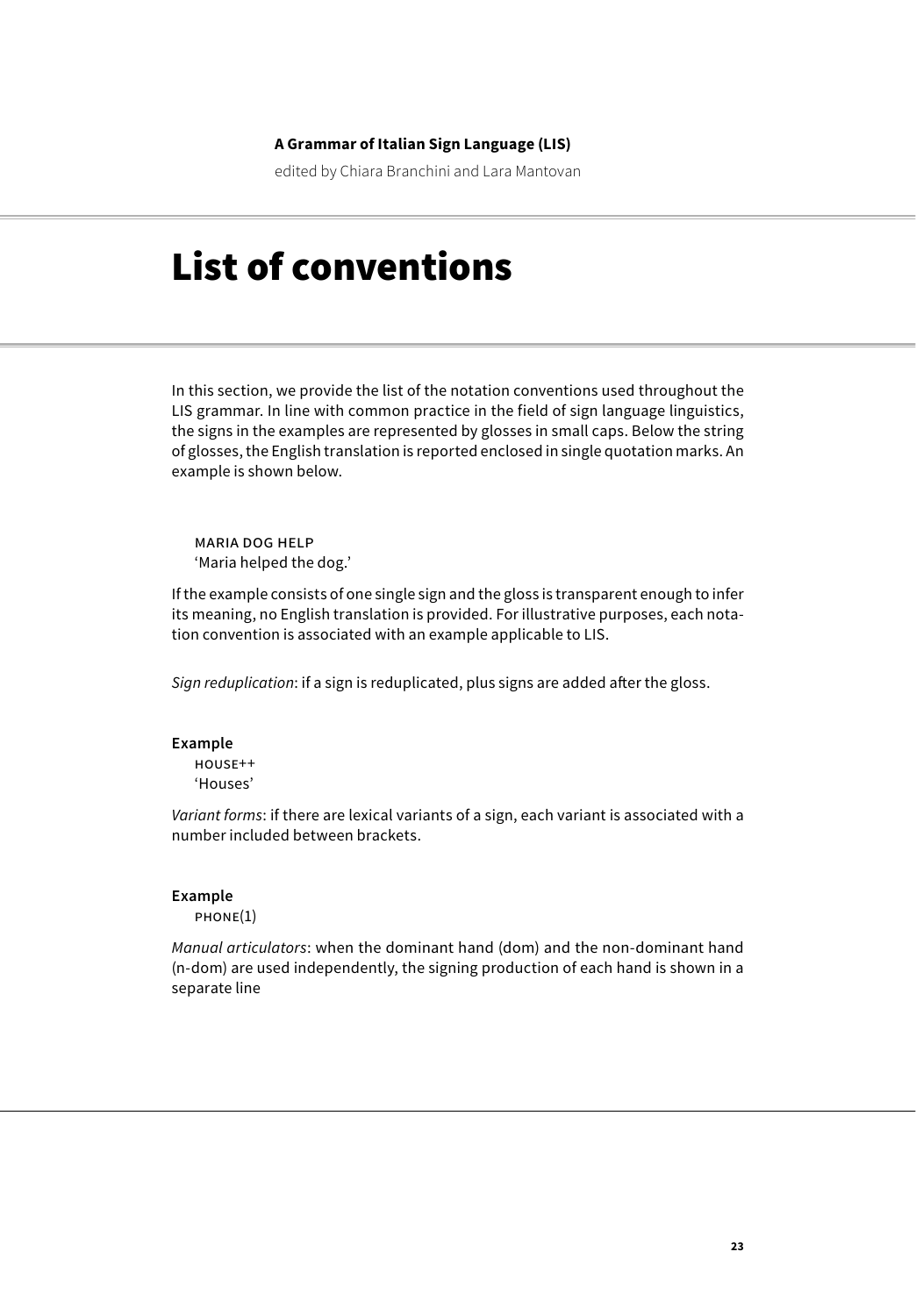# **A Grammar of Italian Sign Language (LIS)**

edited by Chiara Branchini and Lara Mantovan

# List of conventions

In this section, we provide the list of the notation conventions used throughout the LIS grammar. In line with common practice in the field of sign language linguistics, the signs in the examples are represented by glosses in small caps. Below the string of glosses, the English translation is reported enclosed in single quotation marks. An example is shown below.

maria dog help 'Maria helped the dog.'

If the example consists of one single sign and the gloss is transparent enough to infer its meaning, no English translation is provided. For illustrative purposes, each notation convention is associated with an example applicable to LIS.

*Sign reduplication*: if a sign is reduplicated, plus signs are added after the gloss.

#### **Example**

house++ 'Houses'

*Variant forms*: if there are lexical variants of a sign, each variant is associated with a number included between brackets.

## **Example**

phone(1)

*Manual articulators*: when the dominant hand (dom) and the non-dominant hand (n-dom) are used independently, the signing production of each hand is shown in a separate line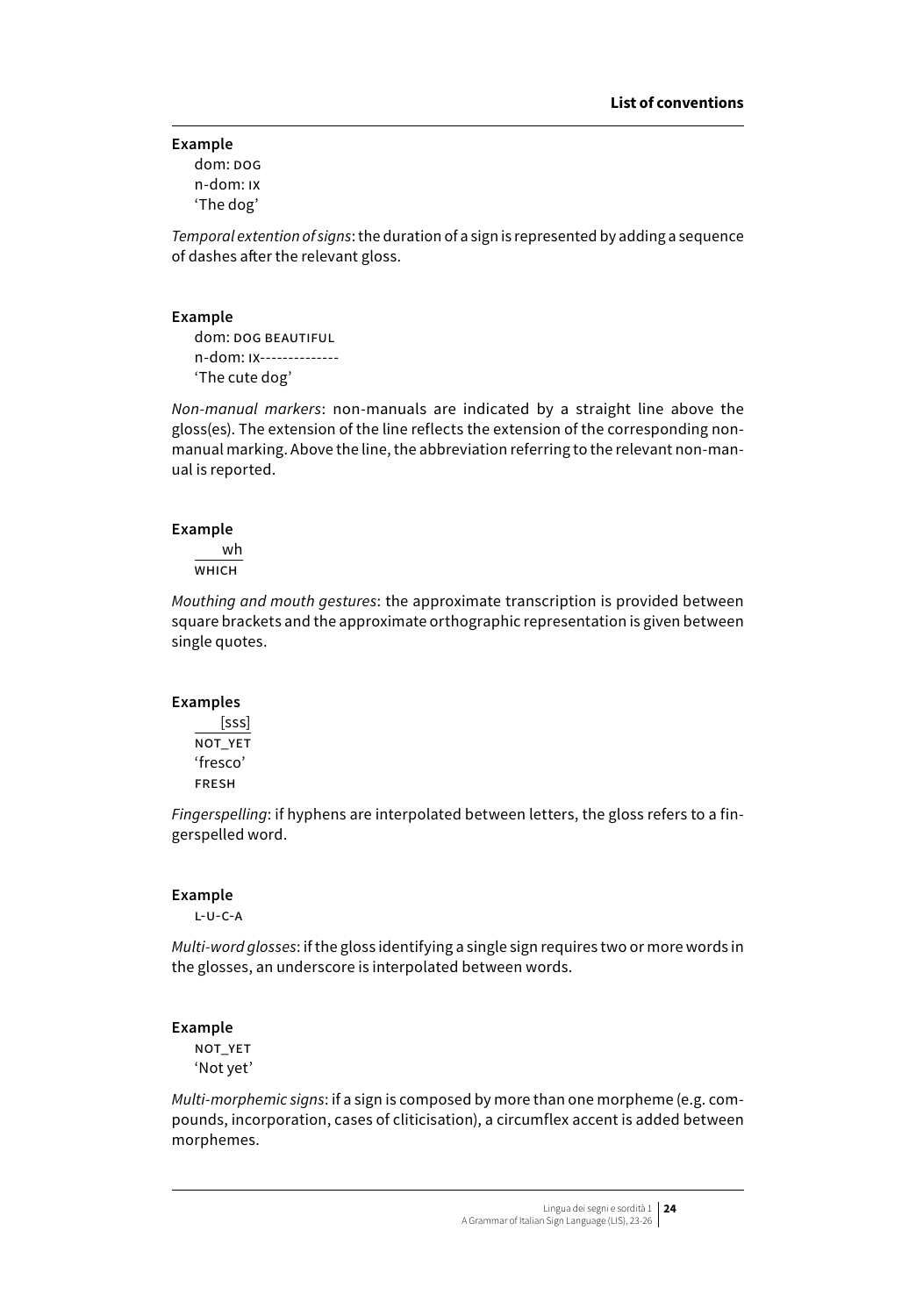## **Example**

dom: dog n-dom: ix 'The dog'

*Temporal extention of signs*: the duration of a sign is represented by adding a sequence of dashes after the relevant gloss.

#### **Example**

dom: DOG BEAUTIFUL n-dom: ix-------------- 'The cute dog'

*Non-manual markers*: non-manuals are indicated by a straight line above the gloss(es). The extension of the line reflects the extension of the corresponding nonmanual marking. Above the line, the abbreviation referring to the relevant non-manual is reported.

## **Example**

wh  $W$  $H$ <sub>ICH</sub>

*Mouthing and mouth gestures*: the approximate transcription is provided between square brackets and the approximate orthographic representation is given between single quotes.

## **Examples**

 [sss] NOT\_YET 'fresco' fresh

*Fingerspelling*: if hyphens are interpolated between letters, the gloss refers to a fingerspelled word.

#### **Example**

l-u-c-a

*Multi-word glosses*: if the gloss identifying a single sign requires two or more words in the glosses, an underscore is interpolated between words.

## **Example**

not\_yet 'Not yet'

*Multi-morphemic signs*: if a sign is composed by more than one morpheme (e.g. compounds, incorporation, cases of cliticisation), a circumflex accent is added between morphemes.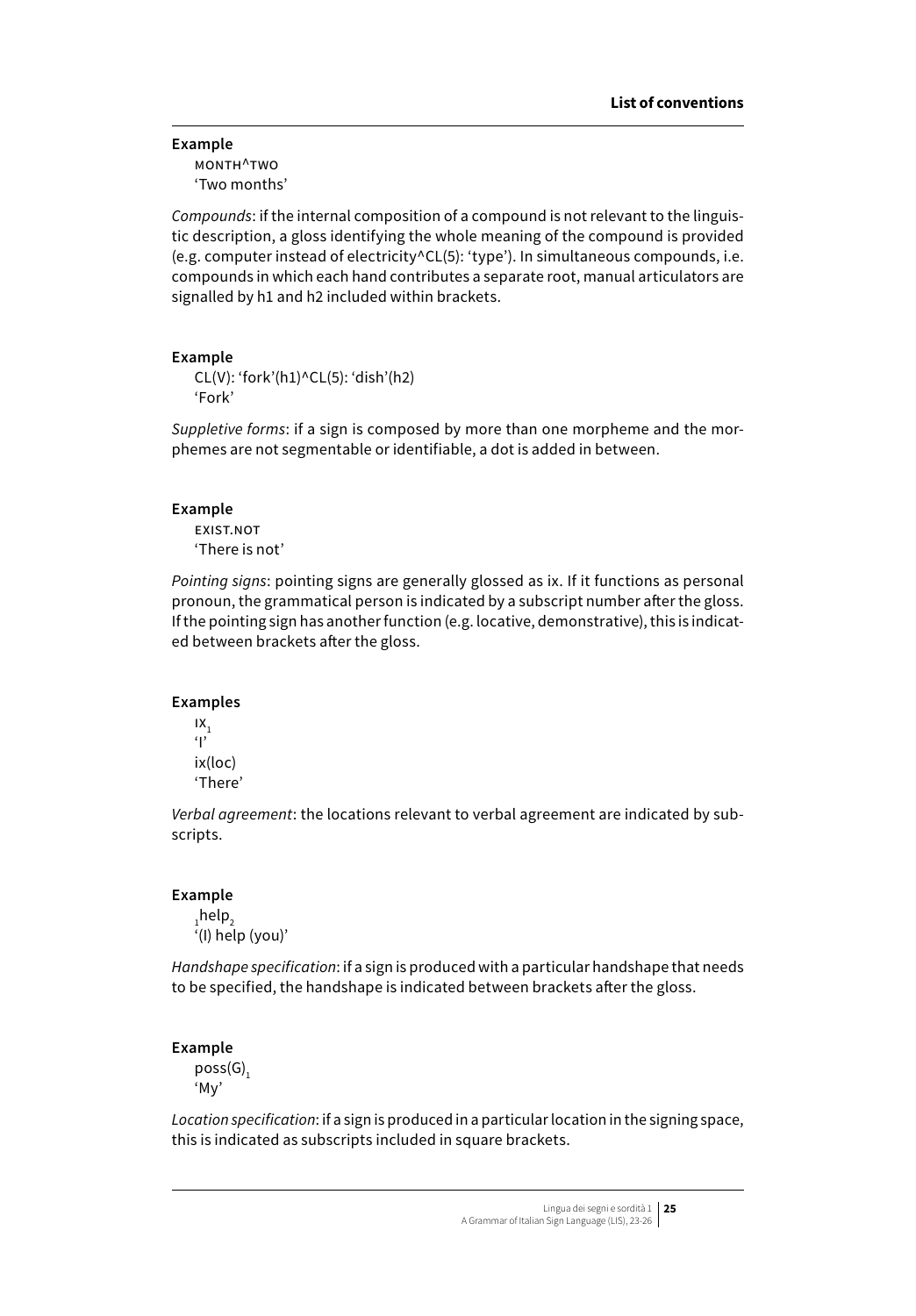**Example** month^two 'Two months'

*Compounds*: if the internal composition of a compound is not relevant to the linguistic description, a gloss identifying the whole meaning of the compound is provided (e.g. computer instead of electricity^CL(5): 'type'). In simultaneous compounds, i.e. compounds in which each hand contributes a separate root, manual articulators are signalled by h1 and h2 included within brackets.

## **Example**

CL(V): 'fork'(h1)^CL(5): 'dish'(h2) 'Fork'

*Suppletive forms*: if a sign is composed by more than one morpheme and the morphemes are not segmentable or identifiable, a dot is added in between.

## **Example**

exist.not 'There is not'

*Pointing signs*: pointing signs are generally glossed as ix. If it functions as personal pronoun, the grammatical person is indicated by a subscript number after the gloss. If the pointing sign has another function (e.g. locative, demonstrative), this is indicated between brackets after the gloss.

## **Examples**

 $IX_1$  $\mathbf{q}$ ix(loc) 'There'

*Verbal agreement*: the locations relevant to verbal agreement are indicated by subscripts.

#### **Example**

 $_{1}$ help $_{2}$ '(I) help (you)'

*Handshape specification*: if a sign is produced with a particular handshape that needs to be specified, the handshape is indicated between brackets after the gloss.

#### **Example**

 $poss(G),$ 'My'

*Location specification*: if a sign is produced in a particular location in the signing space, this is indicated as subscripts included in square brackets.